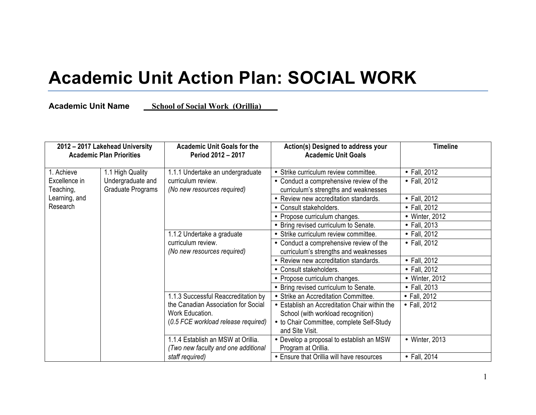## **Academic Unit Action Plan: SOCIAL WORK**

**Academic Unit Name \_\_School of Social Work\_(Orillia)\_\_\_\_**

| 2012 - 2017 Lakehead University<br><b>Academic Plan Priorities</b> |                   | <b>Academic Unit Goals for the</b><br>Period 2012 - 2017                        | Action(s) Designed to address your<br><b>Academic Unit Goals</b> | <b>Timeline</b>    |
|--------------------------------------------------------------------|-------------------|---------------------------------------------------------------------------------|------------------------------------------------------------------|--------------------|
| 1.1 High Quality<br>1. Achieve                                     |                   | 1.1.1 Undertake an undergraduate                                                | • Strike curriculum review committee.                            | • Fall, 2012       |
| Excellence in                                                      | Undergraduate and | curriculum review.                                                              | • Conduct a comprehensive review of the                          | $\cdot$ Fall, 2012 |
| Teaching,                                                          | Graduate Programs | (No new resources required)                                                     | curriculum's strengths and weaknesses                            |                    |
| Learning, and                                                      |                   |                                                                                 | • Review new accreditation standards.                            | • Fall, 2012       |
| Research                                                           |                   |                                                                                 | • Consult stakeholders.                                          | • Fall, 2012       |
|                                                                    |                   |                                                                                 | • Propose curriculum changes.                                    | • Winter, 2012     |
|                                                                    |                   |                                                                                 | • Bring revised curriculum to Senate.                            | • Fall, 2013       |
|                                                                    |                   | 1.1.2 Undertake a graduate<br>curriculum review.<br>(No new resources required) | • Strike curriculum review committee.                            | • Fall, $2012$     |
|                                                                    |                   |                                                                                 | • Conduct a comprehensive review of the                          | • Fall, $2012$     |
|                                                                    |                   |                                                                                 | curriculum's strengths and weaknesses                            |                    |
|                                                                    |                   |                                                                                 | • Review new accreditation standards.                            | • Fall, 2012       |
|                                                                    |                   |                                                                                 | • Consult stakeholders.                                          | • Fall, 2012       |
|                                                                    |                   |                                                                                 | • Propose curriculum changes.                                    | • Winter, 2012     |
|                                                                    |                   |                                                                                 | • Bring revised curriculum to Senate.                            | • Fall, 2013       |
|                                                                    |                   | 1.1.3 Successful Reaccreditation by                                             | • Strike an Accreditation Committee.                             | • Fall, 2012       |
|                                                                    |                   | the Canadian Association for Social                                             | • Establish an Accreditation Chair within the                    | • Fall, 2012       |
|                                                                    |                   | Work Education.                                                                 | School (with workload recognition)                               |                    |
|                                                                    |                   | (0.5 FCE workload release required)                                             | • to Chair Committee, complete Self-Study                        |                    |
|                                                                    |                   |                                                                                 | and Site Visit.                                                  |                    |
|                                                                    |                   | 1.1.4 Establish an MSW at Orillia.                                              | • Develop a proposal to establish an MSW                         | • Winter, 2013     |
|                                                                    |                   | (Two new faculty and one additional                                             | Program at Orillia.                                              |                    |
|                                                                    |                   | staff required)                                                                 | • Ensure that Orillia will have resources                        | • Fall, 2014       |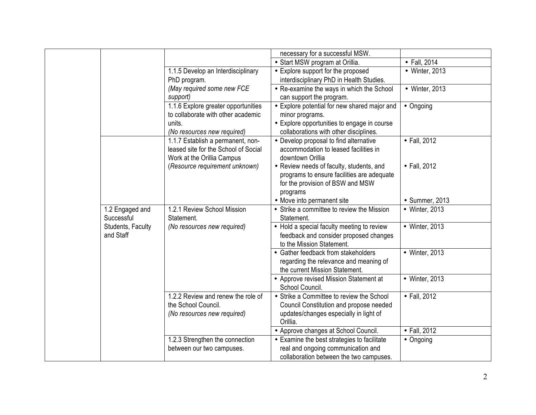|                   |                                      | necessary for a successful MSW.                                          |                |
|-------------------|--------------------------------------|--------------------------------------------------------------------------|----------------|
|                   |                                      | • Start MSW program at Orillia.                                          | • Fall, 2014   |
|                   | 1.1.5 Develop an Interdisciplinary   | • Explore support for the proposed                                       | • Winter, 2013 |
|                   | PhD program.                         | interdisciplinary PhD in Health Studies.                                 |                |
|                   | (May required some new FCE           | • Re-examine the ways in which the School                                | • Winter, 2013 |
|                   | support)                             | can support the program.                                                 |                |
|                   | 1.1.6 Explore greater opportunities  | • Explore potential for new shared major and                             | • Ongoing      |
|                   | to collaborate with other academic   | minor programs.                                                          |                |
|                   | units.                               | • Explore opportunities to engage in course                              |                |
|                   | (No resources new required)          | collaborations with other disciplines.                                   |                |
|                   | 1.1.7 Establish a permanent, non-    | • Develop proposal to find alternative                                   | • Fall, 2012   |
|                   | leased site for the School of Social | accommodation to leased facilities in                                    |                |
|                   | Work at the Orillia Campus           | downtown Orillia                                                         |                |
|                   | (Resource requirement unknown)       | • Review needs of faculty, students, and                                 | • Fall, 2012   |
|                   |                                      | programs to ensure facilities are adequate                               |                |
|                   |                                      | for the provision of BSW and MSW                                         |                |
|                   |                                      | programs                                                                 |                |
|                   |                                      | • Move into permanent site                                               | • Summer, 2013 |
| 1.2 Engaged and   | 1.2.1 Review School Mission          | • Strike a committee to review the Mission                               | • Winter, 2013 |
| Successful        | Statement.                           | Statement.                                                               |                |
| Students, Faculty | (No resources new required)          | • Hold a special faculty meeting to review                               | • Winter, 2013 |
| and Staff         |                                      | feedback and consider proposed changes                                   |                |
|                   |                                      | to the Mission Statement.                                                |                |
|                   |                                      | • Gather feedback from stakeholders                                      | • Winter, 2013 |
|                   |                                      | regarding the relevance and meaning of<br>the current Mission Statement. |                |
|                   |                                      |                                                                          | • Winter, 2013 |
|                   |                                      | • Approve revised Mission Statement at<br>School Council.                |                |
|                   | 1.2.2 Review and renew the role of   | • Strike a Committee to review the School                                | • Fall, 2012   |
|                   | the School Council.                  | Council Constitution and propose needed                                  |                |
|                   | (No resources new required)          | updates/changes especially in light of                                   |                |
|                   |                                      | Orillia.                                                                 |                |
|                   |                                      | • Approve changes at School Council.                                     | • Fall, 2012   |
|                   | 1.2.3 Strengthen the connection      | • Examine the best strategies to facilitate                              | • Ongoing      |
|                   | between our two campuses.            | real and ongoing communication and                                       |                |
|                   |                                      | collaboration between the two campuses.                                  |                |
|                   |                                      |                                                                          |                |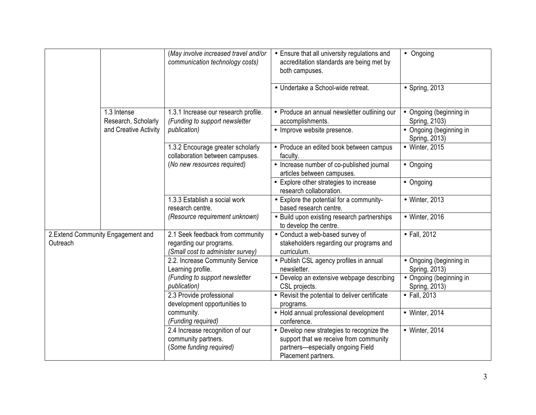|                                               |                                    | (May involve increased travel and/or<br>communication technology costs)                             | • Ensure that all university regulations and<br>accreditation standards are being met by<br>both campuses.                                      | • Ongoing                                |
|-----------------------------------------------|------------------------------------|-----------------------------------------------------------------------------------------------------|-------------------------------------------------------------------------------------------------------------------------------------------------|------------------------------------------|
|                                               |                                    |                                                                                                     | · Undertake a School-wide retreat.                                                                                                              | • Spring, 2013                           |
|                                               | 1.3 Intense<br>Research, Scholarly | 1.3.1 Increase our research profile.<br>(Funding to support newsletter                              | • Produce an annual newsletter outlining our<br>accomplishments.                                                                                | • Ongoing (beginning in<br>Spring, 2103) |
|                                               | and Creative Activity              | publication)                                                                                        | • Improve website presence.                                                                                                                     | • Ongoing (beginning in<br>Spring, 2013) |
|                                               |                                    | 1.3.2 Encourage greater scholarly<br>collaboration between campuses.<br>(No new resources required) | • Produce an edited book between campus<br>faculty.                                                                                             | • Winter, 2015                           |
|                                               |                                    |                                                                                                     | • Increase number of co-published journal<br>articles between campuses.                                                                         | • Ongoing                                |
|                                               |                                    |                                                                                                     | • Explore other strategies to increase<br>research collaboration.                                                                               | • Ongoing                                |
|                                               |                                    | 1.3.3 Establish a social work<br>research centre.                                                   | • Explore the potential for a community-<br>based research centre.                                                                              | • Winter, 2013                           |
|                                               |                                    | (Resource requirement unknown)                                                                      | • Build upon existing research partnerships<br>to develop the centre.                                                                           | • Winter, 2016                           |
| 2.Extend Community Engagement and<br>Outreach |                                    | 2.1 Seek feedback from community<br>regarding our programs.<br>(Small cost to administer survey)    | • Conduct a web-based survey of<br>stakeholders regarding our programs and<br>curriculum.                                                       | • Fall, 2012                             |
|                                               |                                    | 2.2. Increase Community Service<br>Learning profile.                                                | • Publish CSL agency profiles in annual<br>newsletter.                                                                                          | • Ongoing (beginning in<br>Spring, 2013) |
|                                               |                                    | (Funding to support newsletter<br>publication)                                                      | • Develop an extensive webpage describing<br>CSL projects.                                                                                      | • Ongoing (beginning in<br>Spring, 2013) |
|                                               |                                    | 2.3 Provide professional<br>development opportunities to                                            | • Revisit the potential to deliver certificate<br>programs.                                                                                     | • Fall, 2013                             |
|                                               |                                    | community.<br>(Funding required)                                                                    | • Hold annual professional development<br>conference.                                                                                           | • Winter, 2014                           |
|                                               |                                    | 2.4 Increase recognition of our<br>community partners.<br>(Some funding required)                   | • Develop new strategies to recognize the<br>support that we receive from community<br>partners-especially ongoing Field<br>Placement partners. | • Winter, 2014                           |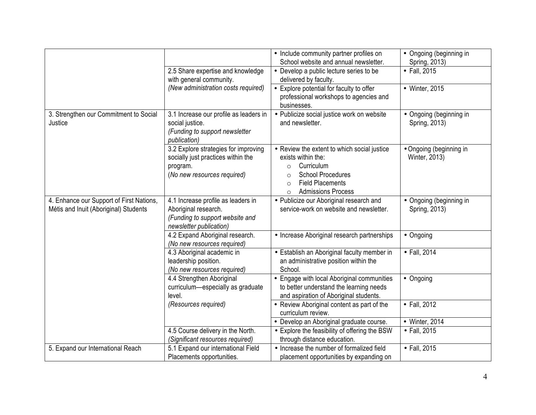|                                                                                   |                                                                                                                          | • Include community partner profiles on<br>School website and annual newsletter.                                                                                                                                  | • Ongoing (beginning in<br>Spring, 2013) |
|-----------------------------------------------------------------------------------|--------------------------------------------------------------------------------------------------------------------------|-------------------------------------------------------------------------------------------------------------------------------------------------------------------------------------------------------------------|------------------------------------------|
|                                                                                   | 2.5 Share expertise and knowledge<br>with general community.                                                             | • Develop a public lecture series to be<br>delivered by faculty.                                                                                                                                                  | • Fall, 2015                             |
|                                                                                   | (New administration costs required)                                                                                      | • Explore potential for faculty to offer<br>professional workshops to agencies and<br>businesses.                                                                                                                 | • Winter, 2015                           |
| 3. Strengthen our Commitment to Social<br>Justice                                 | 3.1 Increase our profile as leaders in<br>social justice.<br>(Funding to support newsletter<br>publication)              | • Publicize social justice work on website<br>and newsletter.                                                                                                                                                     | • Ongoing (beginning in<br>Spring, 2013) |
|                                                                                   | 3.2 Explore strategies for improving<br>socially just practices within the<br>program.<br>(No new resources required)    | • Review the extent to which social justice<br>exists within the:<br>Curriculum<br>$\circ$<br><b>School Procedures</b><br>$\Omega$<br><b>Field Placements</b><br>$\Omega$<br><b>Admissions Process</b><br>$\circ$ | • Ongoing (beginning in<br>Winter, 2013) |
| 4. Enhance our Support of First Nations,<br>Métis and Inuit (Aboriginal) Students | 4.1 Increase profile as leaders in<br>Aboriginal research.<br>(Funding to support website and<br>newsletter publication) | • Publicize our Aboriginal research and<br>service-work on website and newsletter.                                                                                                                                | • Ongoing (beginning in<br>Spring, 2013) |
|                                                                                   | 4.2 Expand Aboriginal research.<br>(No new resources required)                                                           | • Increase Aboriginal research partnerships                                                                                                                                                                       | • Ongoing                                |
|                                                                                   | 4.3 Aboriginal academic in<br>leadership position.<br>(No new resources required)                                        | • Establish an Aboriginal faculty member in<br>an administrative position within the<br>School.                                                                                                                   | • Fall, 2014                             |
|                                                                                   | 4.4 Strengthen Aboriginal<br>curriculum-especially as graduate<br>level.                                                 | • Engage with local Aboriginal communities<br>to better understand the learning needs<br>and aspiration of Aboriginal students.                                                                                   | • Ongoing                                |
|                                                                                   | (Resources required)                                                                                                     | • Review Aboriginal content as part of the<br>curriculum review.                                                                                                                                                  | • Fall, 2012                             |
|                                                                                   |                                                                                                                          | • Develop an Aboriginal graduate course.                                                                                                                                                                          | • Winter, 2014                           |
|                                                                                   | 4.5 Course delivery in the North.<br>(Significant resources required)                                                    | • Explore the feasibility of offering the BSW<br>through distance education.                                                                                                                                      | • Fall, 2015                             |
| 5. Expand our International Reach                                                 | 5.1 Expand our international Field<br>Placements opportunities.                                                          | • Increase the number of formalized field<br>placement opportunities by expanding on                                                                                                                              | • Fall, 2015                             |